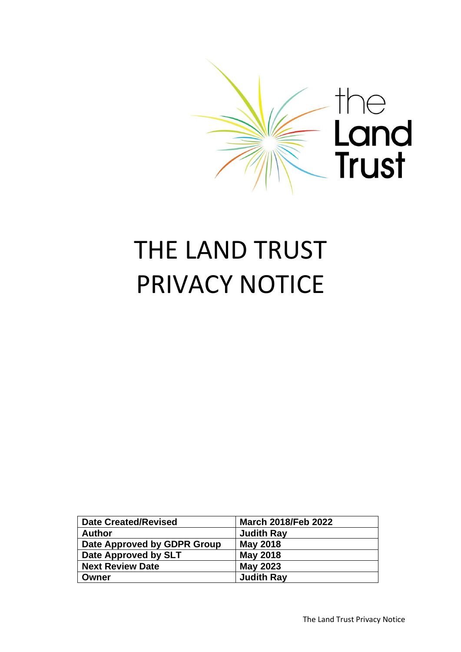

# THE LAND TRUST PRIVACY NOTICE

| <b>Date Created/Revised</b> | <b>March 2018/Feb 2022</b> |
|-----------------------------|----------------------------|
| <b>Author</b>               | <b>Judith Ray</b>          |
| Date Approved by GDPR Group | <b>May 2018</b>            |
| Date Approved by SLT        | <b>May 2018</b>            |
| <b>Next Review Date</b>     | <b>May 2023</b>            |
| Owner                       | <b>Judith Ray</b>          |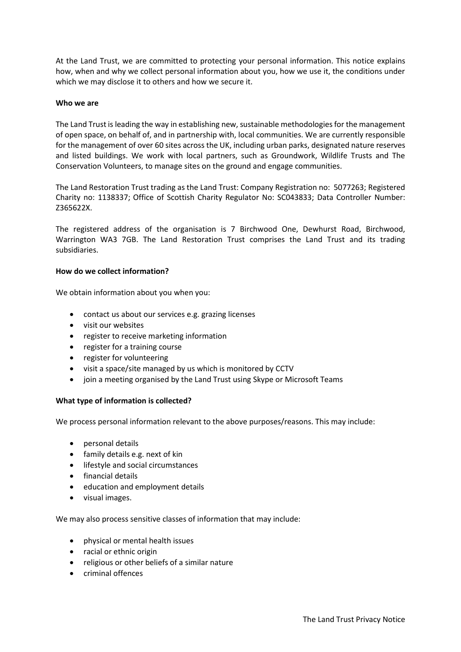At the Land Trust, we are committed to protecting your personal information. This notice explains how, when and why we collect personal information about you, how we use it, the conditions under which we may disclose it to others and how we secure it.

#### **Who we are**

The Land Trust is leading the way in establishing new, sustainable methodologies for the management of open space, on behalf of, and in partnership with, local communities. We are currently responsible for the management of over 60 sites across the UK, including urban parks, designated nature reserves and listed buildings. We work with local partners, such as Groundwork, Wildlife Trusts and The Conservation Volunteers, to manage sites on the ground and engage communities.

The Land Restoration Trust trading as the Land Trust: Company Registration no: 5077263; Registered Charity no: 1138337; Office of Scottish Charity Regulator No: SC043833; Data Controller Number: Z365622X.

The registered address of the organisation is 7 Birchwood One, Dewhurst Road, Birchwood, Warrington WA3 7GB. The Land Restoration Trust comprises the Land Trust and its trading subsidiaries.

#### **How do we collect information?**

We obtain information about you when you:

- contact us about our services e.g. grazing licenses
- visit our websites
- register to receive marketing information
- register for a training course
- register for volunteering
- visit a space/site managed by us which is monitored by CCTV
- join a meeting organised by the Land Trust using Skype or Microsoft Teams

### **What type of information is collected?**

We process personal information relevant to the above purposes/reasons. This may include:

- personal details
- family details e.g. next of kin
- lifestyle and social circumstances
- financial details
- education and employment details
- visual images.

We may also process sensitive classes of information that may include:

- physical or mental health issues
- racial or ethnic origin
- religious or other beliefs of a similar nature
- criminal offences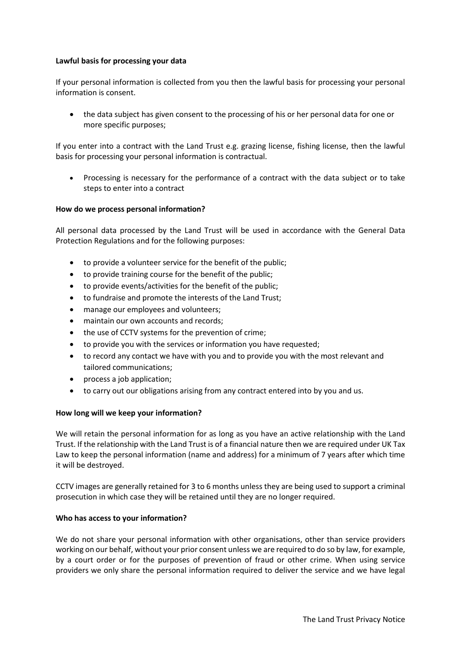### **Lawful basis for processing your data**

If your personal information is collected from you then the lawful basis for processing your personal information is consent.

• the data subject has given consent to the processing of his or her personal data for one or more specific purposes;

If you enter into a contract with the Land Trust e.g. grazing license, fishing license, then the lawful basis for processing your personal information is contractual.

• Processing is necessary for the performance of a contract with the data subject or to take steps to enter into a contract

### **How do we process personal information?**

All personal data processed by the Land Trust will be used in accordance with the General Data Protection Regulations and for the following purposes:

- to provide a volunteer service for the benefit of the public;
- to provide training course for the benefit of the public;
- to provide events/activities for the benefit of the public;
- to fundraise and promote the interests of the Land Trust;
- manage our employees and volunteers;
- maintain our own accounts and records;
- the use of CCTV systems for the prevention of crime;
- to provide you with the services or information you have requested;
- to record any contact we have with you and to provide you with the most relevant and tailored communications;
- process a job application;
- to carry out our obligations arising from any contract entered into by you and us.

### **How long will we keep your information?**

We will retain the personal information for as long as you have an active relationship with the Land Trust. If the relationship with the Land Trust is of a financial nature then we are required under UK Tax Law to keep the personal information (name and address) for a minimum of 7 years after which time it will be destroyed.

CCTV images are generally retained for 3 to 6 months unless they are being used to support a criminal prosecution in which case they will be retained until they are no longer required.

### **Who has access to your information?**

We do not share your personal information with other organisations, other than service providers working on our behalf, without your prior consent unless we are required to do so by law, for example, by a court order or for the purposes of prevention of fraud or other crime. When using service providers we only share the personal information required to deliver the service and we have legal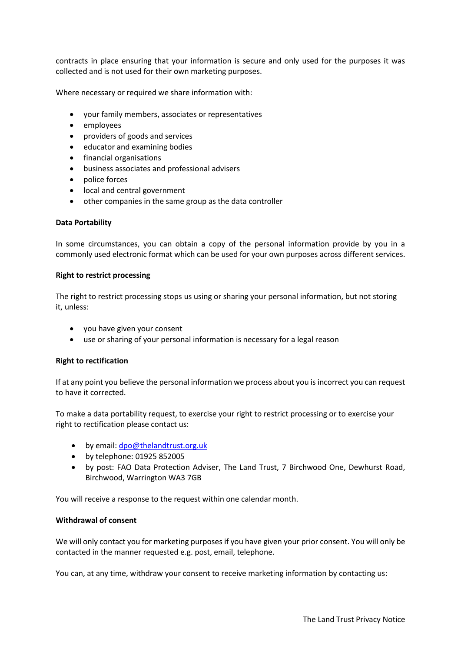contracts in place ensuring that your information is secure and only used for the purposes it was collected and is not used for their own marketing purposes.

Where necessary or required we share information with:

- your family members, associates or representatives
- employees
- providers of goods and services
- educator and examining bodies
- financial organisations
- business associates and professional advisers
- police forces
- local and central government
- other companies in the same group as the data controller

#### **Data Portability**

In some circumstances, you can obtain a copy of the personal information provide by you in a commonly used electronic format which can be used for your own purposes across different services.

#### **Right to restrict processing**

The right to restrict processing stops us using or sharing your personal information, but not storing it, unless:

- you have given your consent
- use or sharing of your personal information is necessary for a legal reason

#### **Right to rectification**

If at any point you believe the personal information we process about you is incorrect you can request to have it corrected.

To make a data portability request, to exercise your right to restrict processing or to exercise your right to rectification please contact us:

- by email: [dpo@thelandtrust.org.uk](mailto:dpo@thelandtrust.org.uk)
- by telephone: 01925 852005
- by post: FAO Data Protection Adviser, The Land Trust, 7 Birchwood One, Dewhurst Road, Birchwood, Warrington WA3 7GB

You will receive a response to the request within one calendar month.

#### **Withdrawal of consent**

We will only contact you for marketing purposes if you have given your prior consent. You will only be contacted in the manner requested e.g. post, email, telephone.

You can, at any time, withdraw your consent to receive marketing information by contacting us: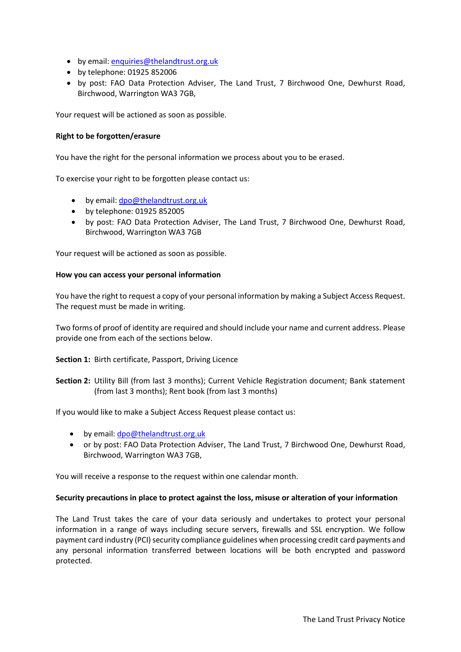- by email: [enquiries@thelandtrust.org.uk](mailto:enquiries@thelandtrust.org.uk)
- by telephone: 01925 852006
- by post: FAO Data Protection Adviser, The Land Trust, 7 Birchwood One, Dewhurst Road, Birchwood, Warrington WA3 7GB,

Your request will be actioned as soon as possible.

## **Right to be forgotten/erasure**

You have the right for the personal information we process about you to be erased.

To exercise your right to be forgotten please contact us:

- by email: [dpo@thelandtrust.org.uk](mailto:dpo@thelandtrust.org.uk)
- by telephone: 01925 852005
- by post: FAO Data Protection Adviser, The Land Trust, 7 Birchwood One, Dewhurst Road, Birchwood, Warrington WA3 7GB

Your request will be actioned as soon as possible.

### **How you can access your personal information**

You have the right to request a copy of your personal information by making a Subject Access Request. The request must be made in writing.

Two forms of proof of identity are required and should include your name and current address. Please provide one from each of the sections below.

**Section 1:** Birth certificate, Passport, Driving Licence

**Section 2:** Utility Bill (from last 3 months); Current Vehicle Registration document; Bank statement (from last 3 months); Rent book (from last 3 months)

If you would like to make a Subject Access Request please contact us:

- by email: dpo@thelandtrust.org.uk
- or by post: FAO Data Protection Adviser, The Land Trust, 7 Birchwood One, Dewhurst Road, Birchwood, Warrington WA3 7GB,

You will receive a response to the request within one calendar month.

### **Security precautions in place to protect against the loss, misuse or alteration of your information**

The Land Trust takes the care of your data seriously and undertakes to protect your personal information in a range of ways including secure servers, firewalls and SSL encryption. We follow payment card industry (PCI) security compliance guidelines when processing credit card payments and any personal information transferred between locations will be both encrypted and password protected.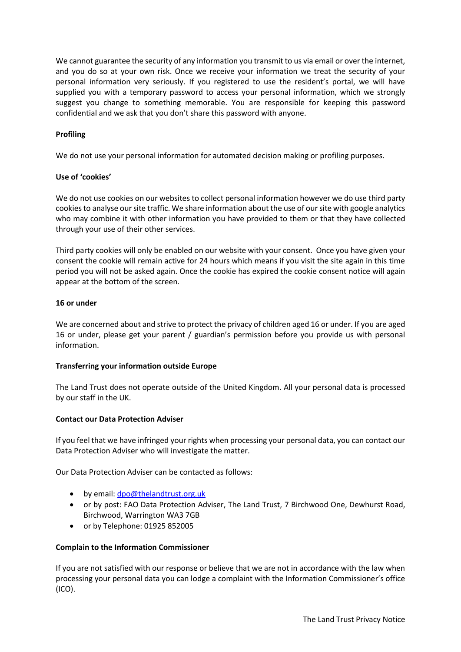We cannot guarantee the security of any information you transmit to us via email or over the internet, and you do so at your own risk. Once we receive your information we treat the security of your personal information very seriously. If you registered to use the resident's portal, we will have supplied you with a temporary password to access your personal information, which we strongly suggest you change to something memorable. You are responsible for keeping this password confidential and we ask that you don't share this password with anyone.

## **Profiling**

We do not use your personal information for automated decision making or profiling purposes.

### **Use of 'cookies'**

We do not use cookies on our websites to collect personal information however we do use third party cookies to analyse our site traffic. We share information about the use of our site with google analytics who may combine it with other information you have provided to them or that they have collected through your use of their other services.

Third party cookies will only be enabled on our website with your consent. Once you have given your consent the cookie will remain active for 24 hours which means if you visit the site again in this time period you will not be asked again. Once the cookie has expired the cookie consent notice will again appear at the bottom of the screen.

## **16 or under**

We are concerned about and strive to protect the privacy of children aged 16 or under. If you are aged 16 or under, please get your parent / guardian's permission before you provide us with personal information.

### **Transferring your information outside Europe**

The Land Trust does not operate outside of the United Kingdom. All your personal data is processed by our staff in the UK.

### **Contact our Data Protection Adviser**

If you feel that we have infringed your rights when processing your personal data, you can contact our Data Protection Adviser who will investigate the matter.

Our Data Protection Adviser can be contacted as follows:

- by email: [dpo@thelandtrust.org.uk](mailto:dpo@thelandtrust.org.uk)
- or by post: FAO Data Protection Adviser, The Land Trust, 7 Birchwood One, Dewhurst Road, Birchwood, Warrington WA3 7GB
- or by Telephone: 01925 852005

### **Complain to the Information Commissioner**

If you are not satisfied with our response or believe that we are not in accordance with the law when processing your personal data you can lodge a complaint with the Information Commissioner's office (ICO).